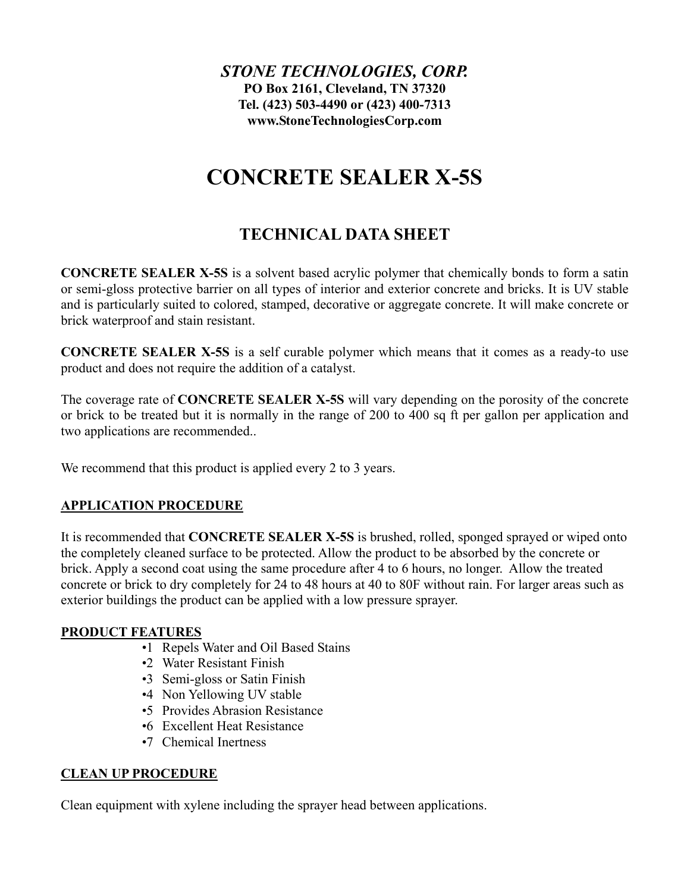*STONE TECHNOLOGIES, CORP.* **PO Box 2161, Cleveland, TN 37320 Tel. (423) 503-4490 or (423) 400-7313 www.StoneTechnologiesCorp.com**

# **CONCRETE SEALER X-5S**

# **TECHNICAL DATA SHEET**

**CONCRETE SEALER X-5S** is a solvent based acrylic polymer that chemically bonds to form a satin or semi-gloss protective barrier on all types of interior and exterior concrete and bricks. It is UV stable and is particularly suited to colored, stamped, decorative or aggregate concrete. It will make concrete or brick waterproof and stain resistant.

**CONCRETE SEALER X-5S** is a self curable polymer which means that it comes as a ready-to use product and does not require the addition of a catalyst.

The coverage rate of **CONCRETE SEALER X-5S** will vary depending on the porosity of the concrete or brick to be treated but it is normally in the range of 200 to 400 sq ft per gallon per application and two applications are recommended..

We recommend that this product is applied every 2 to 3 years.

## **APPLICATION PROCEDURE**

It is recommended that **CONCRETE SEALER X-5S** is brushed, rolled, sponged sprayed or wiped onto the completely cleaned surface to be protected. Allow the product to be absorbed by the concrete or brick. Apply a second coat using the same procedure after 4 to 6 hours, no longer. Allow the treated concrete or brick to dry completely for 24 to 48 hours at 40 to 80F without rain. For larger areas such as exterior buildings the product can be applied with a low pressure sprayer.

## **PRODUCT FEATURES**

- •1 Repels Water and Oil Based Stains
- •2 Water Resistant Finish
- •3 Semi-gloss or Satin Finish
- •4 Non Yellowing UV stable
- •5 Provides Abrasion Resistance
- •6 Excellent Heat Resistance
- •7 Chemical Inertness

## **CLEAN UP PROCEDURE**

Clean equipment with xylene including the sprayer head between applications.